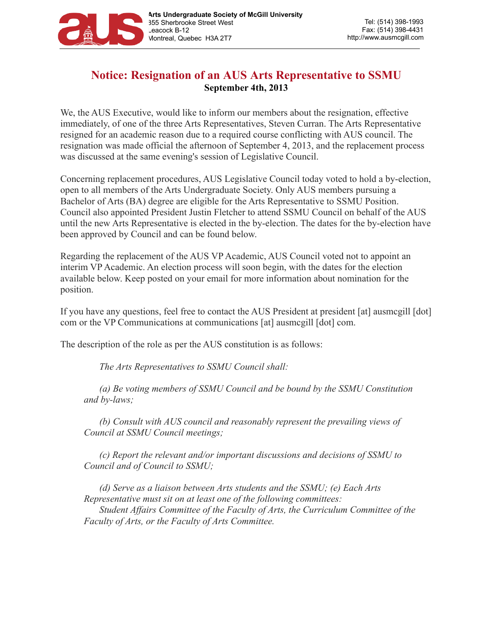

## **Notice: Resignation of an AUS Arts Representative to SSMU September 4th, 2013**

We, the AUS Executive, would like to inform our members about the resignation, effective immediately, of one of the three Arts Representatives, Steven Curran. The Arts Representative resigned for an academic reason due to a required course conflicting with AUS council. The resignation was made official the afternoon of September 4, 2013, and the replacement process was discussed at the same evening's session of Legislative Council.

Concerning replacement procedures, AUS Legislative Council today voted to hold a by-election, open to all members of the Arts Undergraduate Society. Only AUS members pursuing a Bachelor of Arts (BA) degree are eligible for the Arts Representative to SSMU Position. Council also appointed President Justin Fletcher to attend SSMU Council on behalf of the AUS until the new Arts Representative is elected in the by-election. The dates for the by-election have been approved by Council and can be found below.

Regarding the replacement of the AUS VP Academic, AUS Council voted not to appoint an interim VP Academic. An election process will soon begin, with the dates for the election available below. Keep posted on your email for more information about nomination for the position.

If you have any questions, feel free to contact the AUS President at president [at] ausmcgill [dot] com or the VP Communications at communications [at] ausmcgill [dot] com.

The description of the role as per the AUS constitution is as follows:

*The Arts Representatives to SSMU Council shall:* 

*(a) Be voting members of SSMU Council and be bound by the SSMU Constitution and by-laws;* 

*(b) Consult with AUS council and reasonably represent the prevailing views of Council at SSMU Council meetings;* 

*(c) Report the relevant and/or important discussions and decisions of SSMU to Council and of Council to SSMU;*

*(d) Serve as a liaison between Arts students and the SSMU; (e) Each Arts Representative must sit on at least one of the following committees: Student Affairs Committee of the Faculty of Arts, the Curriculum Committee of the Faculty of Arts, or the Faculty of Arts Committee.*